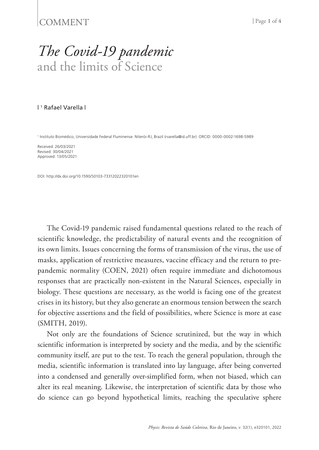## COMMENT <sup>|</sup> Page **1** of **<sup>4</sup>**

## *The Covid-19 pandemic* and the limits of Science

## | 1 Rafael Varella |

1 Instituto Biomédico, Universidade Federal Fluminense. Niterói-RJ, Brazil (rvarella@id.uff.br). ORCID: 0000-0002-1698-5989

Received: 26/03/2021 Revised: 30/04/2021 Approved: 13/05/2021

DOI: http://dx.doi.org/10.1590/S0103-73312022320101en

The Covid-19 pandemic raised fundamental questions related to the reach of scientific knowledge, the predictability of natural events and the recognition of its own limits. Issues concerning the forms of transmission of the virus, the use of masks, application of restrictive measures, vaccine efficacy and the return to prepandemic normality (COEN, 2021) often require immediate and dichotomous responses that are practically non-existent in the Natural Sciences, especially in biology. These questions are necessary, as the world is facing one of the greatest crises in its history, but they also generate an enormous tension between the search for objective assertions and the field of possibilities, where Science is more at ease (SMITH, 2019).

Not only are the foundations of Science scrutinized, but the way in which scientific information is interpreted by society and the media, and by the scientific community itself, are put to the test. To reach the general population, through the media, scientific information is translated into lay language, after being converted into a condensed and generally over-simplified form, when not biased, which can alter its real meaning. Likewise, the interpretation of scientific data by those who do science can go beyond hypothetical limits, reaching the speculative sphere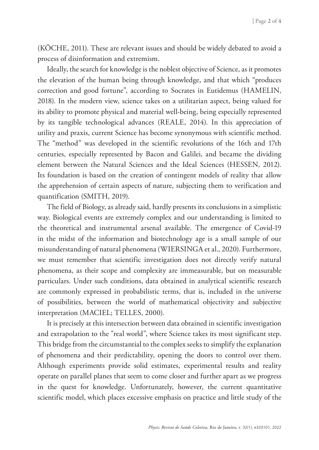(KÖCHE, 2011). These are relevant issues and should be widely debated to avoid a process of disinformation and extremism.

Ideally, the search for knowledge is the noblest objective of Science, as it promotes the elevation of the human being through knowledge, and that which "produces correction and good fortune", according to Socrates in Eutidemus (HAMELIN, 2018). In the modern view, science takes on a utilitarian aspect, being valued for its ability to promote physical and material well-being, being especially represented by its tangible technological advances (REALE, 2014). In this appreciation of utility and praxis, current Science has become synonymous with scientific method. The "method" was developed in the scientific revolutions of the 16th and 17th centuries, especially represented by Bacon and Galilei, and became the dividing element between the Natural Sciences and the Ideal Sciences (HESSEN, 2012). Its foundation is based on the creation of contingent models of reality that allow the apprehension of certain aspects of nature, subjecting them to verification and quantification (SMITH, 2019).

The field of Biology, as already said, hardly presents its conclusions in a simplistic way. Biological events are extremely complex and our understanding is limited to the theoretical and instrumental arsenal available. The emergence of Covid-19 in the midst of the information and biotechnology age is a small sample of our misunderstanding of natural phenomena (WIERSINGA et al., 2020). Furthermore, we must remember that scientific investigation does not directly verify natural phenomena, as their scope and complexity are immeasurable, but on measurable particulars. Under such conditions, data obtained in analytical scientific research are commonly expressed in probabilistic terms, that is, included in the universe of possibilities, between the world of mathematical objectivity and subjective interpretation (MACIEL; TELLES, 2000).

It is precisely at this intersection between data obtained in scientific investigation and extrapolation to the "real world", where Science takes its most significant step. This bridge from the circumstantial to the complex seeks to simplify the explanation of phenomena and their predictability, opening the doors to control over them. Although experiments provide solid estimates, experimental results and reality operate on parallel planes that seem to come closer and further apart as we progress in the quest for knowledge. Unfortunately, however, the current quantitative scientific model, which places excessive emphasis on practice and little study of the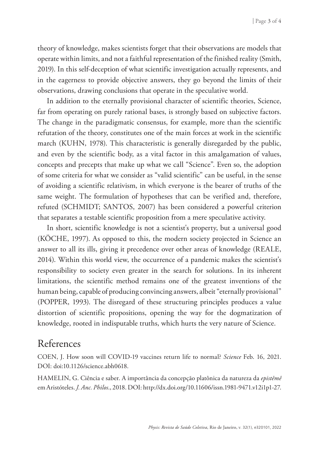theory of knowledge, makes scientists forget that their observations are models that operate within limits, and not a faithful representation of the finished reality (Smith, 2019). In this self-deception of what scientific investigation actually represents, and in the eagerness to provide objective answers, they go beyond the limits of their observations, drawing conclusions that operate in the speculative world.

In addition to the eternally provisional character of scientific theories, Science, far from operating on purely rational bases, is strongly based on subjective factors. The change in the paradigmatic consensus, for example, more than the scientific refutation of the theory, constitutes one of the main forces at work in the scientific march (KUHN, 1978). This characteristic is generally disregarded by the public, and even by the scientific body, as a vital factor in this amalgamation of values, concepts and precepts that make up what we call "Science". Even so, the adoption of some criteria for what we consider as "valid scientific" can be useful, in the sense of avoiding a scientific relativism, in which everyone is the bearer of truths of the same weight. The formulation of hypotheses that can be verified and, therefore, refuted (SCHMIDT; SANTOS, 2007) has been considered a powerful criterion that separates a testable scientific proposition from a mere speculative activity.

In short, scientific knowledge is not a scientist's property, but a universal good (KÖCHE, 1997). As opposed to this, the modern society projected in Science an answer to all its ills, giving it precedence over other areas of knowledge (REALE, 2014). Within this world view, the occurrence of a pandemic makes the scientist's responsibility to society even greater in the search for solutions. In its inherent limitations, the scientific method remains one of the greatest inventions of the human being, capable of producing convincing answers, albeit "eternally provisional" (POPPER, 1993). The disregard of these structuring principles produces a value distortion of scientific propositions, opening the way for the dogmatization of knowledge, rooted in indisputable truths, which hurts the very nature of Science.

## References

COEN, J. How soon will COVID-19 vaccines return life to normal? *Science* Feb. 16, 2021. DOI: doi:10.1126/science.abh0618.

HAMELIN, G. Ciência e saber. A importância da concepção platônica da natureza da *epistêmê*  em Aristóteles. *J. Anc. Philos*., 2018. DOI: http://dx.doi.org/10.11606/issn.1981-9471.v12i1p1-27.